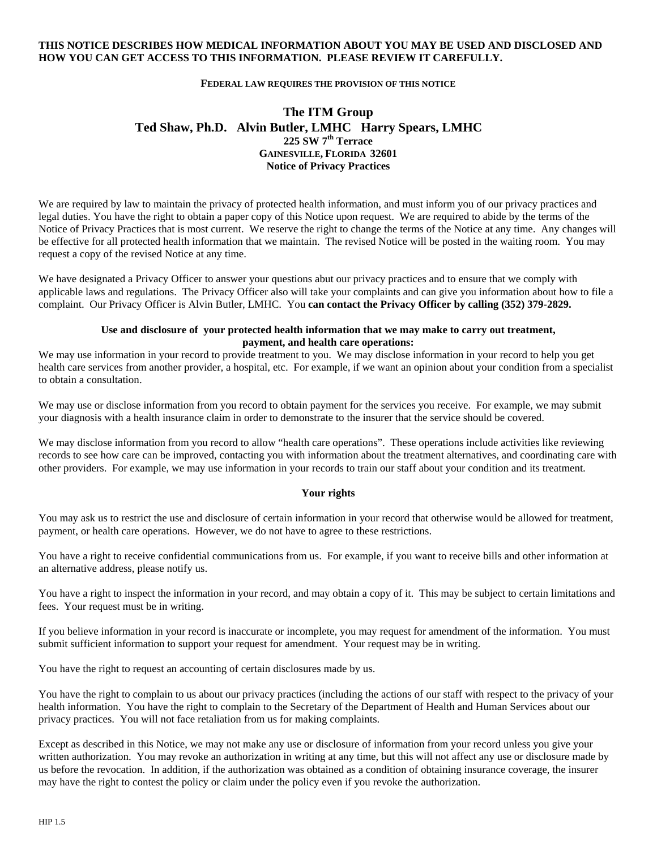## **THIS NOTICE DESCRIBES HOW MEDICAL INFORMATION ABOUT YOU MAY BE USED AND DISCLOSED AND HOW YOU CAN GET ACCESS TO THIS INFORMATION. PLEASE REVIEW IT CAREFULLY.**

## **FEDERAL LAW REQUIRES THE PROVISION OF THIS NOTICE**

# **The ITM Group Ted Shaw, Ph.D. Alvin Butler, LMHC Harry Spears, LMHC 225 SW 7th Terrace GAINESVILLE, FLORIDA 32601 Notice of Privacy Practices**

We are required by law to maintain the privacy of protected health information, and must inform you of our privacy practices and legal duties. You have the right to obtain a paper copy of this Notice upon request. We are required to abide by the terms of the Notice of Privacy Practices that is most current. We reserve the right to change the terms of the Notice at any time. Any changes will be effective for all protected health information that we maintain. The revised Notice will be posted in the waiting room. You may request a copy of the revised Notice at any time.

We have designated a Privacy Officer to answer your questions abut our privacy practices and to ensure that we comply with applicable laws and regulations. The Privacy Officer also will take your complaints and can give you information about how to file a complaint. Our Privacy Officer is Alvin Butler, LMHC. You **can contact the Privacy Officer by calling (352) 379-2829.** 

# **Use and disclosure of your protected health information that we may make to carry out treatment, payment, and health care operations:**

We may use information in your record to provide treatment to you. We may disclose information in your record to help you get health care services from another provider, a hospital, etc. For example, if we want an opinion about your condition from a specialist to obtain a consultation.

We may use or disclose information from you record to obtain payment for the services you receive. For example, we may submit your diagnosis with a health insurance claim in order to demonstrate to the insurer that the service should be covered.

We may disclose information from you record to allow "health care operations". These operations include activities like reviewing records to see how care can be improved, contacting you with information about the treatment alternatives, and coordinating care with other providers. For example, we may use information in your records to train our staff about your condition and its treatment.

### **Your rights**

You may ask us to restrict the use and disclosure of certain information in your record that otherwise would be allowed for treatment, payment, or health care operations. However, we do not have to agree to these restrictions.

You have a right to receive confidential communications from us. For example, if you want to receive bills and other information at an alternative address, please notify us.

You have a right to inspect the information in your record, and may obtain a copy of it. This may be subject to certain limitations and fees. Your request must be in writing.

If you believe information in your record is inaccurate or incomplete, you may request for amendment of the information. You must submit sufficient information to support your request for amendment. Your request may be in writing.

You have the right to request an accounting of certain disclosures made by us.

You have the right to complain to us about our privacy practices (including the actions of our staff with respect to the privacy of your health information. You have the right to complain to the Secretary of the Department of Health and Human Services about our privacy practices. You will not face retaliation from us for making complaints.

Except as described in this Notice, we may not make any use or disclosure of information from your record unless you give your written authorization. You may revoke an authorization in writing at any time, but this will not affect any use or disclosure made by us before the revocation. In addition, if the authorization was obtained as a condition of obtaining insurance coverage, the insurer may have the right to contest the policy or claim under the policy even if you revoke the authorization.